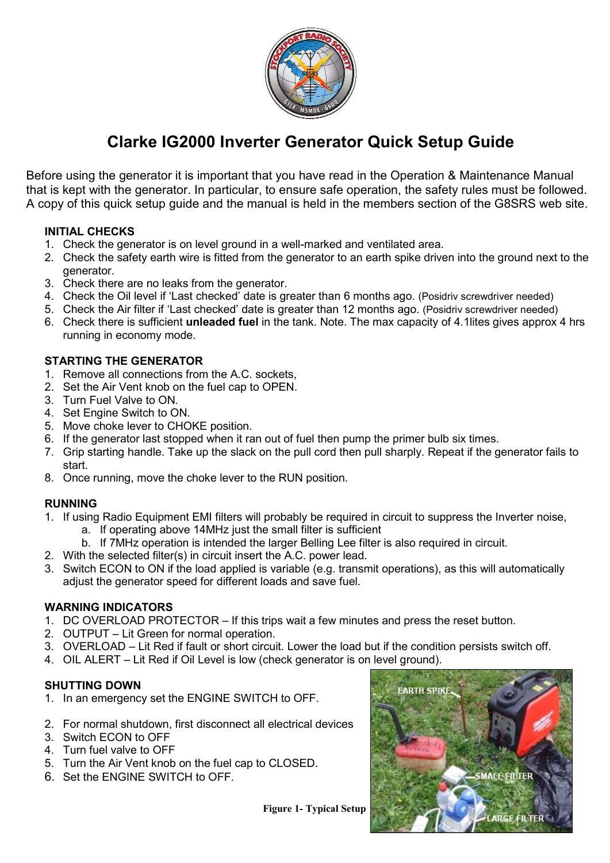

## **Clarke IG2000 Inverter Generator Quick Setup Guide**

Before using the generator it is important that you have read in the Operation & Maintenance Manual that is kept with the generator. In particular, to ensure safe operation, the safety rules must be followed. A copy of this quick setup guide and the manual is held in the members section of the G8SRS web site.

### **INITIAL CHECKS**

- 1. Check the generator is on level ground in a well-marked and ventilated area.
- 2. Check the safety earth wire is fitted from the generator to an earth spike driven into the ground next to the generator.
- 3. Check there are no leaks from the generator.
- 4. Check the Oil level if 'Last checked' date is greater than 6 months ago. (Posidriv screwdriver needed)
- 5. Check the Air filter if 'Last checked' date is greater than 12 months ago. (Posidriv screwdriver needed)
- 6. Check there is sufficient **unleaded fuel** in the tank. Note. The max capacity of 4.1lites gives approx 4 hrs running in economy mode.

### **STARTING THE GENERATOR**

- 1. Remove all connections from the A.C. sockets,
- 2. Set the Air Vent knob on the fuel cap to OPEN.
- 3. Turn Fuel Valve to ON.
- 4. Set Engine Switch to ON.
- 5. Move choke lever to CHOKE position.
- 6. If the generator last stopped when it ran out of fuel then pump the primer bulb six times.
- 7. Grip starting handle. Take up the slack on the pull cord then pull sharply. Repeat if the generator fails to start.
- 8. Once running, move the choke lever to the RUN position.

### **RUNNING**

- 1. If using Radio Equipment EMI filters will probably be required in circuit to suppress the Inverter noise,
	- a. If operating above 14MHz just the small filter is sufficient
	- b. If 7MHz operation is intended the larger Belling Lee filter is also required in circuit.
- 2. With the selected filter(s) in circuit insert the A.C. power lead.
- 3. Switch ECON to ON if the load applied is variable (e.g. transmit operations), as this will automatically adjust the generator speed for different loads and save fuel.

### **WARNING INDICATORS**

- 1. DC OVERLOAD PROTECTOR If this trips wait a few minutes and press the reset button.
- 2. OUTPUT Lit Green for normal operation.
- 3. OVERLOAD Lit Red if fault or short circuit. Lower the load but if the condition persists switch off.
- 4. OIL ALERT Lit Red if Oil Level is low (check generator is on level ground).

#### **SHUTTING DOWN**

- 1. In an emergency set the ENGINE SWITCH to OFF.
- 2. For normal shutdown, first disconnect all electrical devices
- 3. Switch ECON to OFF
- 4. Turn fuel valve to OFF
- 5. Turn the Air Vent knob on the fuel cap to CLOSED.
- 6. Set the ENGINE SWITCH to OFF.



 **Figure 1- Typical Setup**